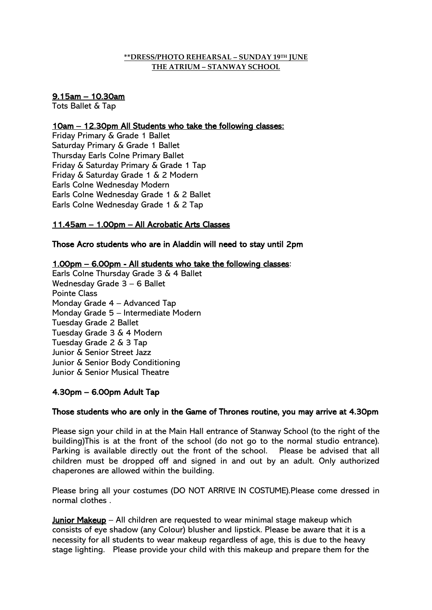#### **\*\*DRESS/PHOTO REHEARSAL – SUNDAY 19 TH JUNE THE ATRIUM – STANWAY SCHOOL**

## 9.15am – 10.30am

Tots Ballet & Tap

## 10am – 12.30pm All Students who take the following classes:

Friday Primary & Grade 1 Ballet Saturday Primary & Grade 1 Ballet Thursday Earls Colne Primary Ballet Friday & Saturday Primary & Grade 1 Tap Friday & Saturday Grade 1 & 2 Modern Earls Colne Wednesday Modern Earls Colne Wednesday Grade 1 & 2 Ballet Earls Colne Wednesday Grade 1 & 2 Tap

# 11.45am – 1.00pm – All Acrobatic Arts Classes

Those Acro students who are in Aladdin will need to stay until 2pm

## 1.00pm – 6.00pm - All students who take the following classes:

Earls Colne Thursday Grade 3 & 4 Ballet Wednesday Grade 3 – 6 Ballet Pointe Class Monday Grade 4 – Advanced Tap Monday Grade 5 – Intermediate Modern Tuesday Grade 2 Ballet Tuesday Grade 3 & 4 Modern Tuesday Grade 2 & 3 Tap Junior & Senior Street Jazz Junior & Senior Body Conditioning Junior & Senior Musical Theatre

# 4.30pm – 6.00pm Adult Tap

#### Those students who are only in the Game of Thrones routine, you may arrive at 4.30pm

Please sign your child in at the Main Hall entrance of Stanway School (to the right of the building)This is at the front of the school (do not go to the normal studio entrance). Parking is available directly out the front of the school. Please be advised that all children must be dropped off and signed in and out by an adult. Only authorized chaperones are allowed within the building.

Please bring all your costumes (DO NOT ARRIVE IN COSTUME).Please come dressed in normal clothes .

Junior Makeup – All children are requested to wear minimal stage makeup which consists of eye shadow (any Colour) blusher and lipstick. Please be aware that it is a necessity for all students to wear makeup regardless of age, this is due to the heavy stage lighting. Please provide your child with this makeup and prepare them for the